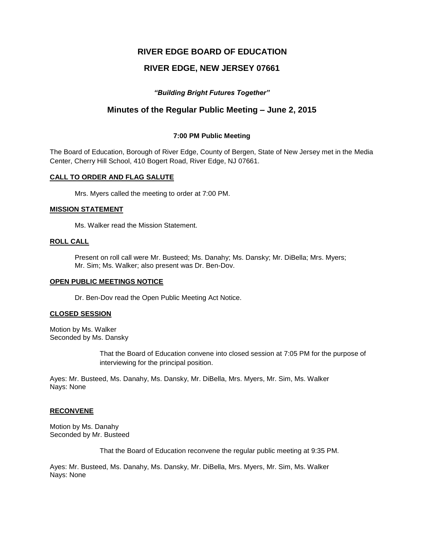# **RIVER EDGE BOARD OF EDUCATION**

# **RIVER EDGE, NEW JERSEY 07661**

# *"Building Bright Futures Together"*

# **Minutes of the Regular Public Meeting – June 2, 2015**

# **7:00 PM Public Meeting**

The Board of Education, Borough of River Edge, County of Bergen, State of New Jersey met in the Media Center, Cherry Hill School, 410 Bogert Road, River Edge, NJ 07661.

#### **CALL TO ORDER AND FLAG SALUTE**

Mrs. Myers called the meeting to order at 7:00 PM.

#### **MISSION STATEMENT**

Ms. Walker read the Mission Statement.

# **ROLL CALL**

Present on roll call were Mr. Busteed; Ms. Danahy; Ms. Dansky; Mr. DiBella; Mrs. Myers; Mr. Sim; Ms. Walker; also present was Dr. Ben-Dov.

# **OPEN PUBLIC MEETINGS NOTICE**

Dr. Ben-Dov read the Open Public Meeting Act Notice.

# **CLOSED SESSION**

Motion by Ms. Walker Seconded by Ms. Dansky

> That the Board of Education convene into closed session at 7:05 PM for the purpose of interviewing for the principal position.

Ayes: Mr. Busteed, Ms. Danahy, Ms. Dansky, Mr. DiBella, Mrs. Myers, Mr. Sim, Ms. Walker Nays: None

# **RECONVENE**

Motion by Ms. Danahy Seconded by Mr. Busteed

That the Board of Education reconvene the regular public meeting at 9:35 PM.

Ayes: Mr. Busteed, Ms. Danahy, Ms. Dansky, Mr. DiBella, Mrs. Myers, Mr. Sim, Ms. Walker Nays: None